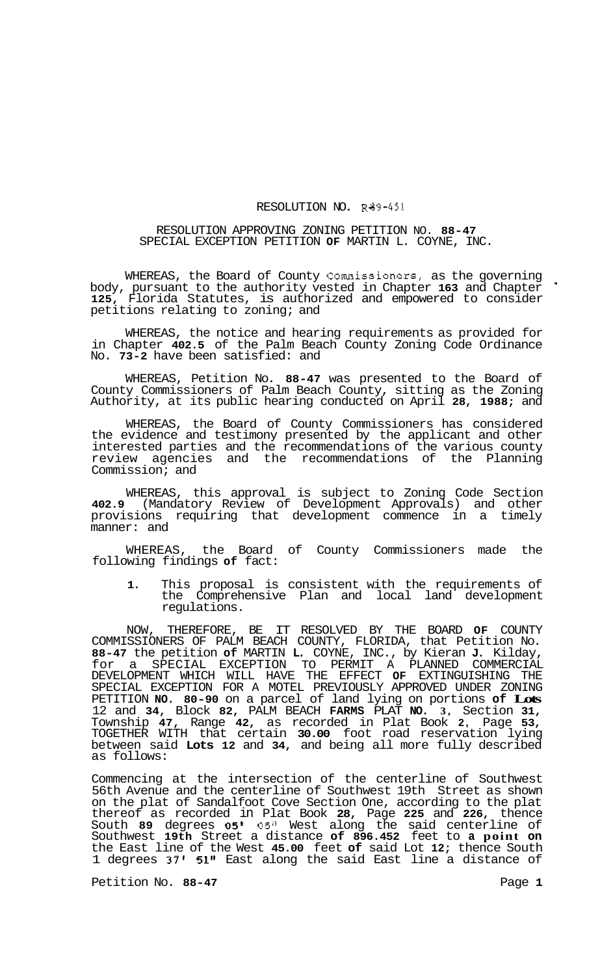## RESOLUTION NO. R89-451

## RESOLUTION APPROVING ZONING PETITION NO. **88-47**  SPECIAL EXCEPTION PETITION **OF** MARTIN L. COYNE, INC.

WHEREAS, the Board of County Commissioners, as the governing body, pursuant to the authority vested in Chapter **163** and Chapter ' **125,** Florida Statutes, is authorized and empowered to consider petitions relating to zoning; and

WHEREAS, the notice and hearing requirements as provided for in Chapter **402.5** of the Palm Beach County Zoning Code Ordinance No. **73-2** have been satisfied: and

WHEREAS, Petition No. **88-47** was presented to the Board of County Commissioners of Palm Beach County, sitting as the Zoning Authority, at its public hearing conducted on April **28, 1988;** and

WHEREAS, the Board of County Commissioners has considered the evidence and testimony presented by the applicant and other interested parties and the recommendations of the various county review agencies and the recommendations of the Planning Commission; and

WHEREAS, this approval is subject to Zoning Code Section **402.9** (Mandatory Review of Development Approvals) and other provisions requiring that development commence in a timely manner: and

WHEREAS, the Board of County Commissioners made the following findings **of** fact:

**1.** This proposal is consistent with the requirements of the Comprehensive Plan and local land development regulations.

NOW, THEREFORE, BE IT RESOLVED BY THE BOARD **OF** COUNTY COMMISSIONERS OF PALM BEACH COUNTY, FLORIDA, that Petition No. **88-47** the petition **of** MARTIN **L.** COYNE, INC., by Kieran **J.** Kilday, for a SPECIAL EXCEPTION TO PERMIT A PLANNED COMMERCIAL DEVELOPMENT WHICH WILL HAVE THE EFFECT **OF** EXTINGUISHING THE SPECIAL EXCEPTION FOR A MOTEL PREVIOUSLY APPROVED UNDER ZONING PETITION **NO. 80-90** on a parcel of land lying on portions **of Lots**  12 and **34,** Block **82,** PALM BEACH **FARMS** PLAT **NO. 3,** Section **31,**  Township **47,** Range **42,** as recorded in Plat Book **2,** Page **53,**  TOGETHER WITH that certain **30.00** foot road reservation lying between said **Lots 12** and **34,** and being all more fully described as follows:

Commencing at the intersection of the centerline of Southwest 56th Avenue and the centerline of Southwest 19th Street as shown on the plat of Sandalfoot Cove Section One, according to the plat thereof as recorded in Plat Book **28,** Page **225** and **226,** thence South **89** degrees **05'** 05" West along the said centerline of Southwest **19th** Street a distance **of 896.452** feet to **a point on**  the East line of the West **45.00** feet **of** said Lot **12;** thence South 1 degrees **37' 51"** East along the said East line a distance of

Petition No. 88-47 **Petition No. 88-47**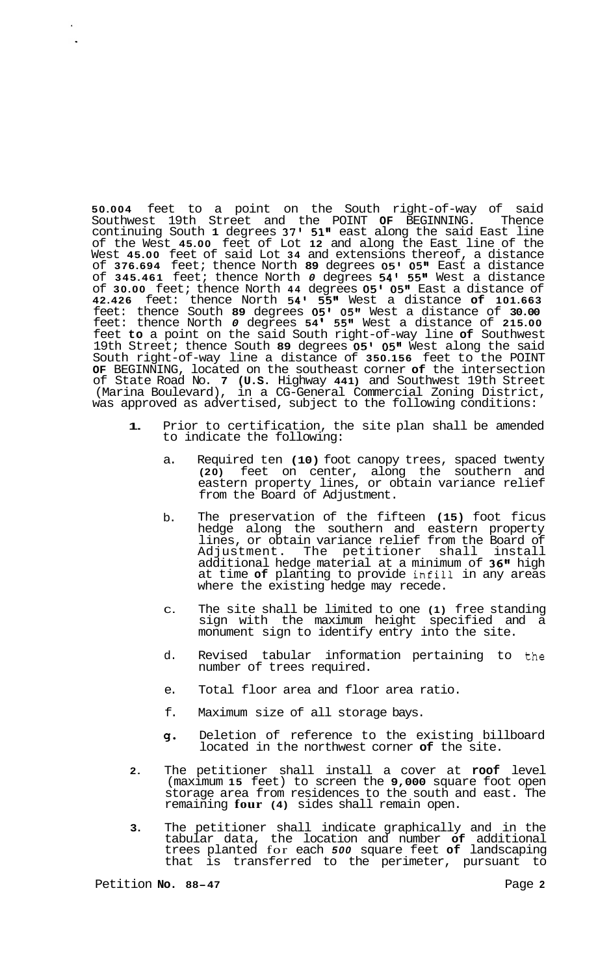**50.004** feet to a point on the South right-of-way of said Southwest 19th Street and the POINT **OF** BEGINNING. Thence continuing South **1** degrees **37' 51"** east along the said East line of the West **45.00** feet of Lot **12** and along the East line of the West **45.00** feet of said Lot **34** and extensions thereof, a distance of **376.694** feet; thence North **89** degrees **05' 05"** East a distance of **345.461** feet; thence North *0* degrees **54' 55"** West a distance of **30.00** feet; thence North **44** degrees **05' 05"** East a distance of **42.426** feet: thence North **54' 55"** West a distance **of 101.663**  feet: thence South **89** degrees **05' 05"** West a distance of **30.00**  feet: thence North *0* degrees **54 5511** West a distance of **215.00**  feet **to** a point on the said South right-of-way line **of** Southwest 19th Street; thence South **89** degrees **05' 05"** West along the said South right-of-way line a distance of **350.156** feet to the POINT **OF** BEGINNING, located on the southeast corner **of** the intersection of State Road No. **7 (U.S.** Highway **441)** and Southwest 19th Street (Marina Boulevard), in a CG-General Commercial Zoning District, was approved as advertised, subject to the following conditions:

- **1.** Prior to certification, the site plan shall be amended to indicate the following:
	- a. Required ten **(10)** foot canopy trees, spaced twenty **(20)** feet on center, along the southern and eastern property lines, or obtain variance relief from the Board of Adjustment.
	- b. The preservation of the fifteen **(15)** foot ficus hedge along the southern and eastern property lines, or obtain variance relief from the Board of Adjustment. The petitioner shall install additional hedge material at a minimum of **36"** high at time **of** planting to provide infill in any areas where the existing hedge may recede.
	- C. The site shall be limited to one **(1)** free standing sign with the maximum height specified and a monument sign to identify entry into the site.
	- d. Revised tabular information pertaining to the number of trees required.
	- e. Total floor area and floor area ratio.
	- f. Maximum size of all storage bays.
	- 9. Deletion of reference to the existing billboard located in the northwest corner **of** the site.
- **2.** The petitioner shall install a cover at **roof** level (maximum **15** feet) to screen the **9,000** square foot open storage area from residences to the south and east. The remaining **four (4)** sides shall remain open.
- **3.** The petitioner shall indicate graphically and in the tabular data, the location and number **of** additional trees planted for each *500* square feet **of** landscaping that is transferred to the perimeter, pursuant to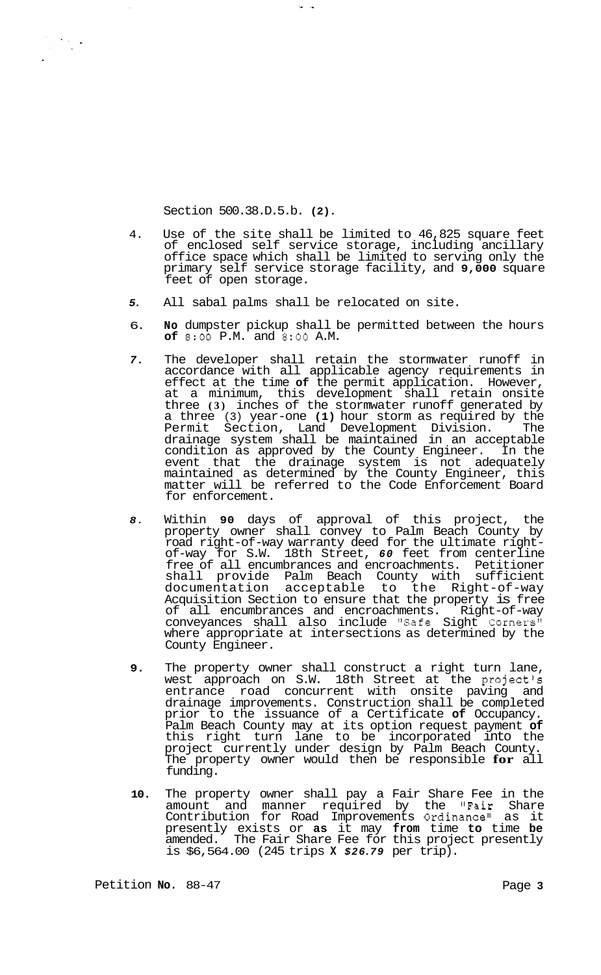Section 500.38.D.5.b. **(2).** 

 $\begin{array}{l} \displaystyle \frac{1}{2} \left( \frac{1}{2} \left( \frac{1}{2} \right) \right) \left( \frac{1}{2} \right) \left( \frac{1}{2} \right) \left( \frac{1}{2} \right) \left( \frac{1}{2} \right) \left( \frac{1}{2} \right) \left( \frac{1}{2} \right) \left( \frac{1}{2} \right) \left( \frac{1}{2} \right) \left( \frac{1}{2} \right) \left( \frac{1}{2} \right) \left( \frac{1}{2} \right) \left( \frac{1}{2} \right) \left( \frac{1}{2} \right) \left( \frac{1}{$ 

- 4. Use of the site shall be limited to 46,825 square feet of enclosed self service storage, including ancillary office space which shall be limited to serving only the primary self service storage facility, and **9,000** square feet of open storage.
- *5.*  All sabal palms shall be relocated on site.

 $\omega = \omega$ 

- 6. **No** dumpster pickup shall be permitted between the hours **of** 8:OO P.M. and **8:OO** A.M.
- *7.*  The developer shall retain the stormwater runoff in accordance with all applicable agency requirements in effect at the time **of** the permit application. However, at a minimum, this development shall retain onsite three **(3)** inches of the stormwater runoff generated by a three (3) year-one **(1)** hour storm as required by the Permit Section, Land Development Division. The drainage system shall be maintained in an acceptable condition as approved by the County Engineer. In the event that the drainage system is not adequately maintained as determined by the County Engineer, this matter will be referred to the Code Enforcement Board for enforcement.
- *8.*  Within **90** days of approval of this project, the property owner shall convey to Palm Beach County by road right-of-way warranty deed for the ultimate rightof-way for S.W. 18th Street, *60* feet from centerline free of all encumbrances and encroachments. Petitioner shall provide Palm Beach County with sufficient documentation acceptable to the Right-of-way Acquisition Section to ensure that the property is free of all encumbrances and encroachments. Right-of-way conveyances shall also include "Safe Sight Corners" where appropriate at intersections as determined by the County Engineer.
- **9.**  The property owner shall construct a right turn lane, west approach on S.W. 18th Street at the project's entrance road concurrent with onsite paving and drainage improvements. Construction shall be completed prior to the issuance of a Certificate **of** Occupancy. Palm Beach County may at its option request payment **of**  this right turn lane to be incorporated into the project currently under design by Palm Beach County. The property owner would then be responsible **for** all funding.
- **10.**  The property owner shall pay a Fair Share Fee in the amount and manner required by the "Fair Share Contribution for Road Improvements Ordinance" as it presently exists or **as** it may **from** time **to** time **be**  amended. The Fair Share Fee for this project presently is \$6,564.00 (245 trips **X** *\$26.79* per trip).

Petition **No.** 88-47 Petition **No.** 88-47